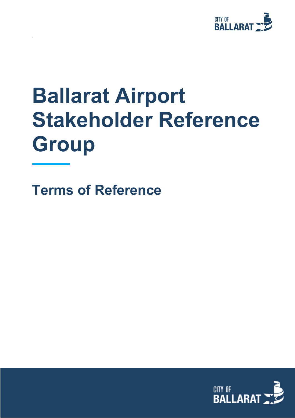

# **Ballarat Airport Stakeholder Reference Group**

**Terms of Reference**

.

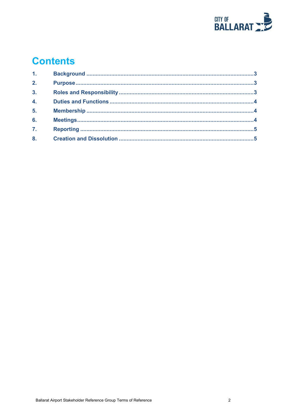

# **Contents**

| 1.11             |  |
|------------------|--|
| 2.               |  |
| 3 <sub>1</sub>   |  |
| $\overline{4}$ . |  |
| 5 <sub>1</sub>   |  |
| 6.               |  |
| $\overline{7}$ . |  |
| 8.               |  |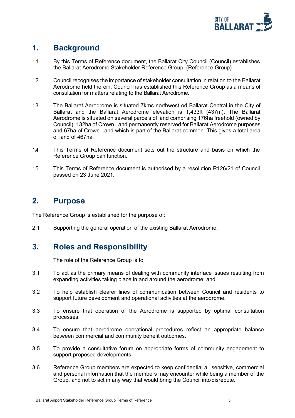

# <span id="page-2-0"></span>**1. Background**

- 1.1 By this Terms of Reference document, the Ballarat City Council (Council) establishes the Ballarat Aerodrome Stakeholder Reference Group. (Reference Group)
- 1.2 Council recognises the importance of stakeholder consultation in relation to the Ballarat Aerodrome held therein. Council has established this Reference Group as a means of consultation for matters relating to the Ballarat Aerodrome.
- 1.3 The Ballarat Aerodrome is situated 7kms northwest od Ballarat Central in the City of Ballarat and the Ballarat Aerodrome elevation is 1,433ft (437m). The Ballarat Aerodrome is situated on several parcels of land comprising 176ha freehold (owned by Council), 132ha of Crown Land permanently reserved for Ballarat Aerodrome purposes and 67ha of Crown Land which is part of the Ballarat common. This gives a total area of land of 467ha.
- 1.4 This Terms of Reference document sets out the structure and basis on which the Reference Group can function.
- 1.5 This Terms of Reference document is authorised by a resolution R126/21 of Council passed on 23 June 2021.

#### <span id="page-2-1"></span>**2. Purpose**

The Reference Group is established for the purpose of:

2.1 Supporting the general operation of the existing Ballarat Aerodrome.

### <span id="page-2-2"></span>**3. Roles and Responsibility**

The role of the Reference Group is to:

- 3.1 To act as the primary means of dealing with community interface issues resulting from expanding activities taking place in and around the aerodrome; and
- 3.2 To help establish clearer lines of communication between Council and residents to support future development and operational activities at the aerodrome.
- 3.3 To ensure that operation of the Aerodrome is supported by optimal consultation processes.
- 3.4 To ensure that aerodrome operational procedures reflect an appropriate balance between commercial and community benefit outcomes.
- 3.5 To provide a consultative forum on appropriate forms of community engagement to support proposed developments.
- 3.6 Reference Group members are expected to keep confidential all sensitive, commercial and personal information that the members may encounter while being a member of the Group, and not to act in any way that would bring the Council into disrepute.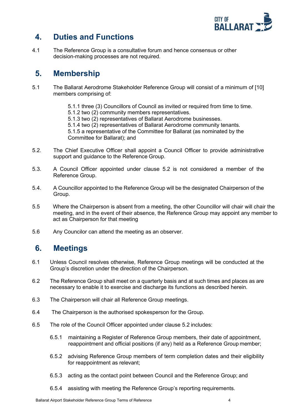

# <span id="page-3-0"></span>**4. Duties and Functions**

4.1 The Reference Group is a consultative forum and hence consensus or other decision-making processes are not required.

## <span id="page-3-1"></span>**5. Membership**

- 5.1 The Ballarat Aerodrome Stakeholder Reference Group will consist of a minimum of [10] members comprising of:
	- 5.1.1 three (3) Councillors of Council as invited or required from time to time.
	- 5.1.2 two (2) community members representatives.
	- 5.1.3 two (2) representatives of Ballarat Aerodrome businesses.
	- 5.1.4 two (2) representatives of Ballarat Aerodrome community tenants.

5.1.5 a representative of the Committee for Ballarat (as nominated by the Committee for Ballarat); and

- 5.2. The Chief Executive Officer shall appoint a Council Officer to provide administrative support and guidance to the Reference Group.
- 5.3. A Council Officer appointed under clause 5.2 is not considered a member of the Reference Group.
- 5.4. A Councillor appointed to the Reference Group will be the designated Chairperson of the Group.
- 5.5 Where the Chairperson is absent from a meeting, the other Councillor will chair will chair the meeting, and in the event of their absence, the Reference Group may appoint any member to act as Chairperson for that meeting
- 5.6 Any Councilor can attend the meeting as an observer.

### <span id="page-3-2"></span>**6. Meetings**

- 6.1 Unless Council resolves otherwise, Reference Group meetings will be conducted at the Group's discretion under the direction of the Chairperson.
- 6.2 The Reference Group shall meet on a quarterly basis and at such times and places as are necessary to enable it to exercise and discharge its functions as described herein.
- 6.3 The Chairperson will chair all Reference Group meetings.
- 6.4 The Chairperson is the authorised spokesperson for the Group.
- 6.5 The role of the Council Officer appointed under clause 5.2 includes:
	- 6.5.1 maintaining a Register of Reference Group members, their date of appointment, reappointment and official positions (if any) held as a Reference Group member;
	- 6.5.2 advising Reference Group members of term completion dates and their eligibility for reappointment as relevant;
	- 6.5.3 acting as the contact point between Council and the Reference Group; and
	- 6.5.4 assisting with meeting the Reference Group's reporting requirements.